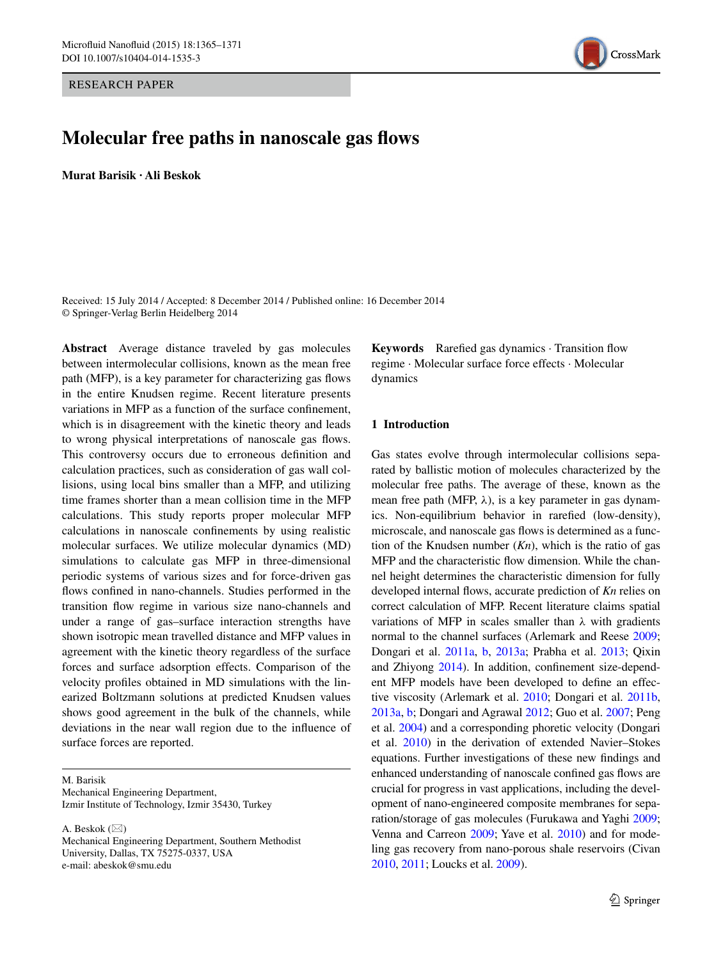RESEARCH PAPER



## **Molecular free paths in nanoscale gas flows**

**Murat Barisik · Ali Beskok**

Received: 15 July 2014 / Accepted: 8 December 2014 / Published online: 16 December 2014 © Springer-Verlag Berlin Heidelberg 2014

**Abstract** Average distance traveled by gas molecules between intermolecular collisions, known as the mean free path (MFP), is a key parameter for characterizing gas flows in the entire Knudsen regime. Recent literature presents variations in MFP as a function of the surface confinement, which is in disagreement with the kinetic theory and leads to wrong physical interpretations of nanoscale gas flows. This controversy occurs due to erroneous definition and calculation practices, such as consideration of gas wall collisions, using local bins smaller than a MFP, and utilizing time frames shorter than a mean collision time in the MFP calculations. This study reports proper molecular MFP calculations in nanoscale confinements by using realistic molecular surfaces. We utilize molecular dynamics (MD) simulations to calculate gas MFP in three-dimensional periodic systems of various sizes and for force-driven gas flows confined in nano-channels. Studies performed in the transition flow regime in various size nano-channels and under a range of gas–surface interaction strengths have shown isotropic mean travelled distance and MFP values in agreement with the kinetic theory regardless of the surface forces and surface adsorption effects. Comparison of the velocity profiles obtained in MD simulations with the linearized Boltzmann solutions at predicted Knudsen values shows good agreement in the bulk of the channels, while deviations in the near wall region due to the influence of surface forces are reported.

M. Barisik Mechanical Engineering Department, Izmir Institute of Technology, Izmir 35430, Turkey

A. Beskok  $(\boxtimes)$ Mechanical Engineering Department, Southern Methodist University, Dallas, TX 75275-0337, USA e-mail: abeskok@smu.edu

**Keywords** Rarefied gas dynamics · Transition flow regime · Molecular surface force effects · Molecular dynamics

## **1 Introduction**

Gas states evolve through intermolecular collisions separated by ballistic motion of molecules characterized by the molecular free paths. The average of these, known as the mean free path (MFP,  $\lambda$ ), is a key parameter in gas dynamics. Non-equilibrium behavior in rarefied (low-density), microscale, and nanoscale gas flows is determined as a function of the Knudsen number (*Kn*), which is the ratio of gas MFP and the characteristic flow dimension. While the channel height determines the characteristic dimension for fully developed internal flows, accurate prediction of *Kn* relies on correct calculation of MFP. Recent literature claims spatial variations of MFP in scales smaller than *λ* with gradients normal to the channel surfaces (Arlemark and Reese [2009](#page-5-0); Dongari et al. [2011a](#page-6-0), [b](#page-6-1), [2013a;](#page-6-2) Prabha et al. [2013](#page-6-3); Qixin and Zhiyong [2014](#page-6-4)). In addition, confinement size-dependent MFP models have been developed to define an effective viscosity (Arlemark et al. [2010](#page-5-1); Dongari et al. [2011b,](#page-6-1) [2013a](#page-6-2), [b](#page-6-5); Dongari and Agrawal [2012;](#page-6-6) Guo et al. [2007](#page-6-7); Peng et al. [2004](#page-6-8)) and a corresponding phoretic velocity (Dongari et al. [2010\)](#page-6-9) in the derivation of extended Navier–Stokes equations. Further investigations of these new findings and enhanced understanding of nanoscale confined gas flows are crucial for progress in vast applications, including the development of nano-engineered composite membranes for separation/storage of gas molecules (Furukawa and Yaghi [2009](#page-6-10); Venna and Carreon [2009](#page-6-11); Yave et al. [2010](#page-6-12)) and for modeling gas recovery from nano-porous shale reservoirs (Civan [2010,](#page-6-13) [2011;](#page-6-14) Loucks et al. [2009\)](#page-6-15).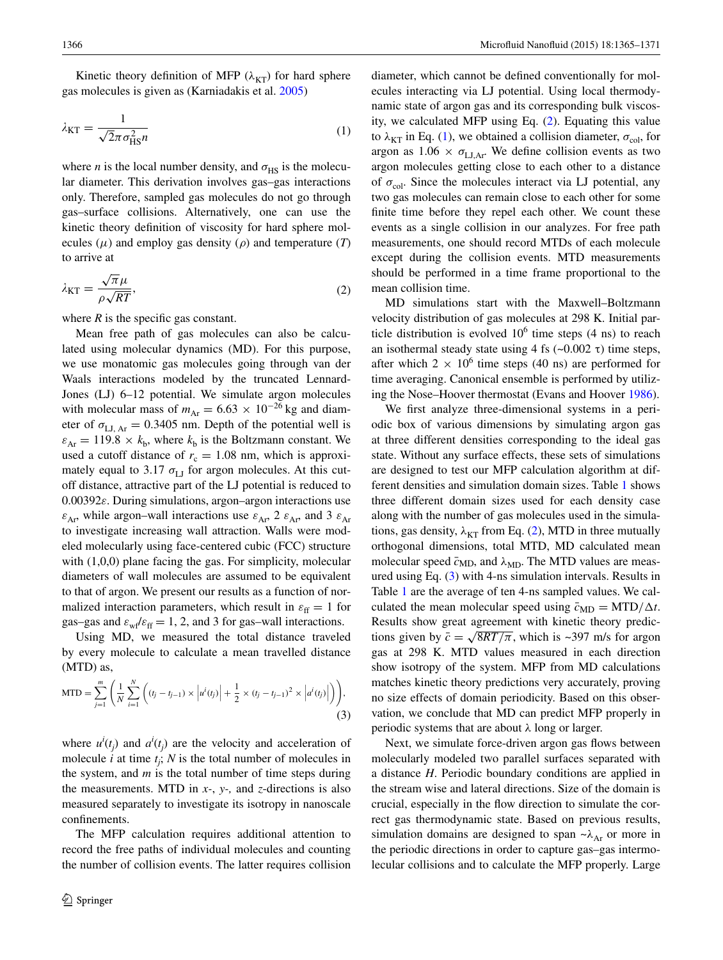Kinetic theory definition of MFP  $(\lambda_{KT})$  for hard sphere gas molecules is given as (Karniadakis et al. [2005](#page-6-16))

$$
\lambda_{\text{KT}} = \frac{1}{\sqrt{2\pi\sigma_{\text{HS}}^2 n}}\tag{1}
$$

where *n* is the local number density, and  $\sigma_{\text{HS}}$  is the molecular diameter. This derivation involves gas–gas interactions only. Therefore, sampled gas molecules do not go through gas–surface collisions. Alternatively, one can use the kinetic theory definition of viscosity for hard sphere molecules  $(\mu)$  and employ gas density  $(\rho)$  and temperature  $(T)$ to arrive at

$$
\lambda_{\rm KT} = \frac{\sqrt{\pi}\mu}{\rho\sqrt{RT}},\tag{2}
$$

where  $R$  is the specific gas constant.

Mean free path of gas molecules can also be calculated using molecular dynamics (MD). For this purpose, we use monatomic gas molecules going through van der Waals interactions modeled by the truncated Lennard-Jones (LJ) 6–12 potential. We simulate argon molecules with molecular mass of  $m_{\text{Ar}} = 6.63 \times 10^{-26}$  kg and diameter of  $\sigma_{\text{LL-Ar}} = 0.3405$  nm. Depth of the potential well is  $\varepsilon_{Ar} = 119.8 \times k_b$ , where  $k_b$  is the Boltzmann constant. We used a cutoff distance of  $r_c = 1.08$  nm, which is approximately equal to 3.17  $\sigma_{\text{LI}}$  for argon molecules. At this cutoff distance, attractive part of the LJ potential is reduced to 0.00392*ε*. During simulations, argon–argon interactions use  $\varepsilon_{Ar}$ , while argon–wall interactions use  $\varepsilon_{Ar}$ , 2  $\varepsilon_{Ar}$ , and 3  $\varepsilon_{Ar}$ to investigate increasing wall attraction. Walls were modeled molecularly using face-centered cubic (FCC) structure with  $(1,0,0)$  plane facing the gas. For simplicity, molecular diameters of wall molecules are assumed to be equivalent to that of argon. We present our results as a function of normalized interaction parameters, which result in  $\varepsilon_{\text{ff}} = 1$  for gas–gas and  $\varepsilon_{\rm wf}\varepsilon_{\rm ff} = 1, 2$ , and 3 for gas–wall interactions.

Using MD, we measured the total distance traveled by every molecule to calculate a mean travelled distance (MTD) as,

MTD = 
$$
\sum_{j=1}^{m} \left( \frac{1}{N} \sum_{i=1}^{N} \left( (t_j - t_{j-1}) \times \left| u^{i}(t_j) \right| + \frac{1}{2} \times (t_j - t_{j-1})^2 \times \left| a^{i}(t_j) \right| \right) \right),
$$
\n(3)

where  $u^i(t_j)$  and  $a^i(t_j)$  are the velocity and acceleration of molecule  $i$  at time  $t_j$ ;  $N$  is the total number of molecules in the system, and *m* is the total number of time steps during the measurements. MTD in *x-*, *y-,* and *z*-directions is also measured separately to investigate its isotropy in nanoscale confinements.

The MFP calculation requires additional attention to record the free paths of individual molecules and counting the number of collision events. The latter requires collision

<span id="page-1-1"></span>diameter, which cannot be defined conventionally for molecules interacting via LJ potential. Using local thermodynamic state of argon gas and its corresponding bulk viscosity, we calculated MFP using Eq. ([2\)](#page-1-0). Equating this value to  $\lambda_{\text{KT}}$  in Eq. [\(1](#page-1-1)), we obtained a collision diameter,  $\sigma_{\text{col}}$ , for argon as  $1.06 \times \sigma_{\text{LLAr}}$ . We define collision events as two argon molecules getting close to each other to a distance of  $\sigma_{\text{col}}$ . Since the molecules interact via LJ potential, any two gas molecules can remain close to each other for some finite time before they repel each other. We count these events as a single collision in our analyzes. For free path measurements, one should record MTDs of each molecule except during the collision events. MTD measurements should be performed in a time frame proportional to the mean collision time.

<span id="page-1-0"></span>MD simulations start with the Maxwell–Boltzmann velocity distribution of gas molecules at 298 K. Initial particle distribution is evolved  $10^6$  time steps (4 ns) to reach an isothermal steady state using 4 fs  $(\sim 0.002 \tau)$  time steps, after which  $2 \times 10^6$  time steps (40 ns) are performed for time averaging. Canonical ensemble is performed by utilizing the Nose–Hoover thermostat (Evans and Hoover [1986\)](#page-6-17).

We first analyze three-dimensional systems in a periodic box of various dimensions by simulating argon gas at three different densities corresponding to the ideal gas state. Without any surface effects, these sets of simulations are designed to test our MFP calculation algorithm at different densities and simulation domain sizes. Table [1](#page-2-0) shows three different domain sizes used for each density case along with the number of gas molecules used in the simulations, gas density,  $\lambda_{KT}$  from Eq. [\(2](#page-1-0)), MTD in three mutually orthogonal dimensions, total MTD, MD calculated mean molecular speed  $\bar{c}_{MD}$ , and  $\lambda_{MD}$ . The MTD values are measured using Eq. ([3\)](#page-1-2) with 4-ns simulation intervals. Results in Table [1](#page-2-0) are the average of ten 4-ns sampled values. We calculated the mean molecular speed using  $\bar{c}_{MD} = MTD/\Delta t$ . Results show great agreement with kinetic theory predictions given by  $\bar{c} = \sqrt{8RT/\pi}$ , which is ~397 m/s for argon gas at 298 K. MTD values measured in each direction show isotropy of the system. MFP from MD calculations matches kinetic theory predictions very accurately, proving no size effects of domain periodicity. Based on this observation, we conclude that MD can predict MFP properly in periodic systems that are about *λ* long or larger.

<span id="page-1-2"></span>Next, we simulate force-driven argon gas flows between molecularly modeled two parallel surfaces separated with a distance *H*. Periodic boundary conditions are applied in the stream wise and lateral directions. Size of the domain is crucial, especially in the flow direction to simulate the correct gas thermodynamic state. Based on previous results, simulation domains are designed to span  $\sim \lambda_{Ar}$  or more in the periodic directions in order to capture gas–gas intermolecular collisions and to calculate the MFP properly. Large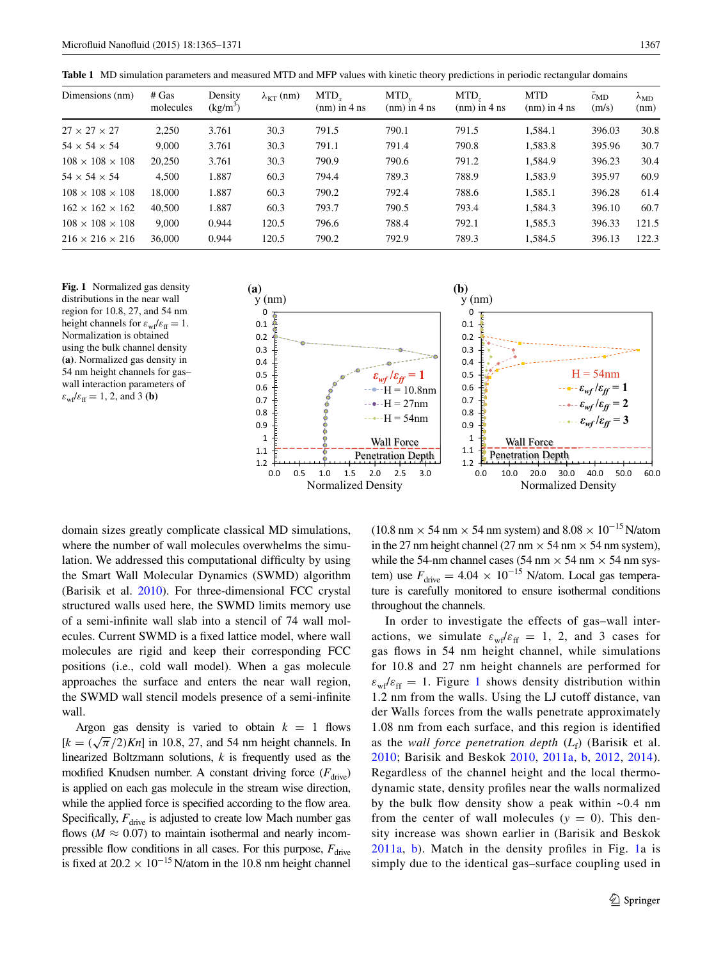<span id="page-2-0"></span>**Table 1** MD simulation parameters and measured MTD and MFP values with kinetic theory predictions in periodic rectangular domains

| Dimensions (nm)             | # Gas<br>molecules | Density<br>$(kg/m^3)$ | $\lambda_{\text{KT}}$ (nm) | $MTD_{r}$<br>$(nm)$ in 4 ns | $MTD_{v}$<br>$(nm)$ in 4 ns | MTD.<br>$(nm)$ in 4 ns | <b>MTD</b><br>$(nm)$ in 4 ns | $\overline{c}_{MD}$<br>(m/s) | $\lambda_{MD}$<br>(nm) |
|-----------------------------|--------------------|-----------------------|----------------------------|-----------------------------|-----------------------------|------------------------|------------------------------|------------------------------|------------------------|
| $27 \times 27 \times 27$    | 2,250              | 3.761                 | 30.3                       | 791.5                       | 790.1                       | 791.5                  | 1,584.1                      | 396.03                       | 30.8                   |
| $54 \times 54 \times 54$    | 9,000              | 3.761                 | 30.3                       | 791.1                       | 791.4                       | 790.8                  | 1,583.8                      | 395.96                       | 30.7                   |
| $108 \times 108 \times 108$ | 20,250             | 3.761                 | 30.3                       | 790.9                       | 790.6                       | 791.2                  | 1,584.9                      | 396.23                       | 30.4                   |
| $54 \times 54 \times 54$    | 4,500              | 1.887                 | 60.3                       | 794.4                       | 789.3                       | 788.9                  | 1,583.9                      | 395.97                       | 60.9                   |
| $108 \times 108 \times 108$ | 18,000             | 1.887                 | 60.3                       | 790.2                       | 792.4                       | 788.6                  | 1,585.1                      | 396.28                       | 61.4                   |
| $162 \times 162 \times 162$ | 40,500             | 1.887                 | 60.3                       | 793.7                       | 790.5                       | 793.4                  | 1,584.3                      | 396.10                       | 60.7                   |
| $108 \times 108 \times 108$ | 9,000              | 0.944                 | 120.5                      | 796.6                       | 788.4                       | 792.1                  | 1,585.3                      | 396.33                       | 121.5                  |
| $216 \times 216 \times 216$ | 36,000             | 0.944                 | 120.5                      | 790.2                       | 792.9                       | 789.3                  | 1,584.5                      | 396.13                       | 122.3                  |

<span id="page-2-1"></span>**Fig. 1** Normalized gas density distributions in the near wall region for 10.8, 27, and 54 nm height channels for  $\varepsilon_{\rm wf}/\varepsilon_{\rm ff} = 1$ . Normalization is obtained using the bulk channel density **(a)**. Normalized gas density in 54 nm height channels for gas– wall interaction parameters of  $\varepsilon_{\text{wf}}/\varepsilon_{\text{ff}} = 1, 2, \text{ and } 3 \text{ (b)}$ 



domain sizes greatly complicate classical MD simulations, where the number of wall molecules overwhelms the simulation. We addressed this computational difficulty by using the Smart Wall Molecular Dynamics (SWMD) algorithm (Barisik et al. [2010\)](#page-6-18). For three-dimensional FCC crystal structured walls used here, the SWMD limits memory use of a semi-infinite wall slab into a stencil of 74 wall molecules. Current SWMD is a fixed lattice model, where wall molecules are rigid and keep their corresponding FCC positions (i.e., cold wall model). When a gas molecule approaches the surface and enters the near wall region, the SWMD wall stencil models presence of a semi-infinite wall.

Argon gas density is varied to obtain  $k = 1$  flows  $[k = (\sqrt{\pi}/2)Kn]$  in 10.8, 27, and 54 nm height channels. In linearized Boltzmann solutions, *k* is frequently used as the modified Knudsen number. A constant driving force  $(F_{\text{drive}})$ is applied on each gas molecule in the stream wise direction, while the applied force is specified according to the flow area. Specifically,  $F_{\text{drive}}$  is adjusted to create low Mach number gas flows ( $M \approx 0.07$ ) to maintain isothermal and nearly incompressible flow conditions in all cases. For this purpose,  $F_{\text{drive}}$ is fixed at  $20.2 \times 10^{-15}$  N/atom in the 10.8 nm height channel

(10.8 nm  $\times$  54 nm  $\times$  54 nm system) and 8.08  $\times$  10<sup>-15</sup> N/atom in the 27 nm height channel (27 nm  $\times$  54 nm  $\times$  54 nm system), while the 54-nm channel cases (54 nm  $\times$  54 nm  $\times$  54 nm system) use  $F_{\text{drive}} = 4.04 \times 10^{-15}$  N/atom. Local gas temperature is carefully monitored to ensure isothermal conditions throughout the channels.

In order to investigate the effects of gas–wall interactions, we simulate  $\varepsilon_{\text{wf}}/\varepsilon_{\text{ff}} = 1, 2,$  and 3 cases for gas flows in 54 nm height channel, while simulations for 10.8 and 27 nm height channels are performed for  $\varepsilon_{wf}/\varepsilon_{ff} = 1$  $\varepsilon_{wf}/\varepsilon_{ff} = 1$ . Figure 1 shows density distribution within 1.2 nm from the walls. Using the LJ cutoff distance, van der Walls forces from the walls penetrate approximately 1.08 nm from each surface, and this region is identified as the *wall force penetration depth*  $(L_f)$  (Barisik et al. [2010;](#page-6-18) Barisik and Beskok [2010](#page-5-2), [2011a,](#page-5-3) [b](#page-6-19), [2012](#page-6-20), [2014](#page-6-21)). Regardless of the channel height and the local thermodynamic state, density profiles near the walls normalized by the bulk flow density show a peak within ~0.4 nm from the center of wall molecules  $(y = 0)$ . This density increase was shown earlier in (Barisik and Beskok [2011a,](#page-5-3) [b](#page-6-19)). Match in the density profiles in Fig. [1a](#page-2-1) is simply due to the identical gas–surface coupling used in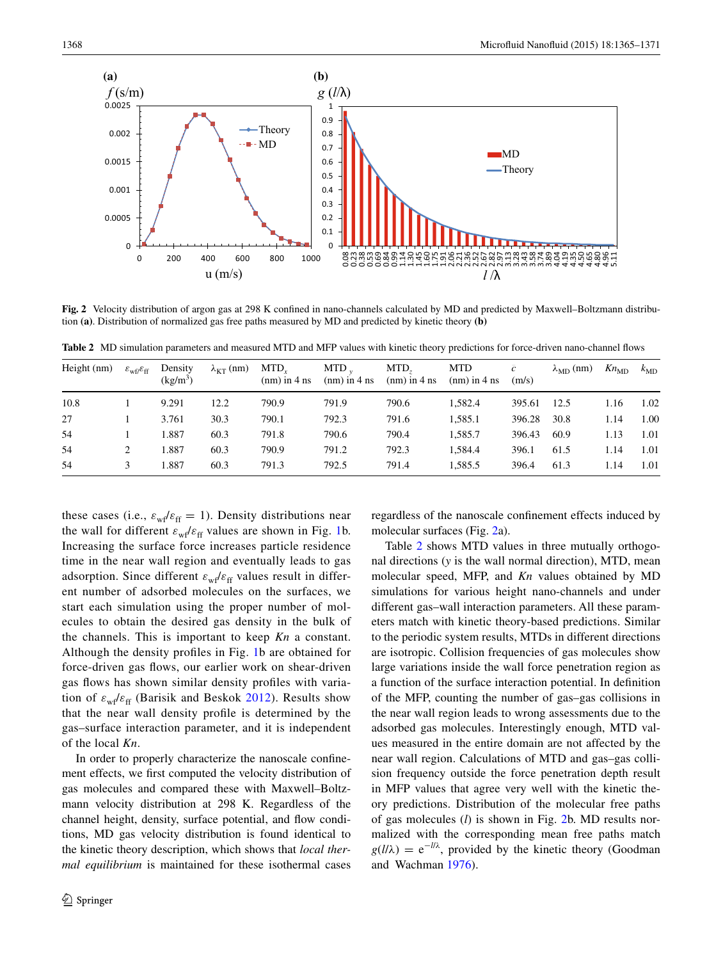

<span id="page-3-0"></span>**Fig. 2** Velocity distribution of argon gas at 298 K confined in nano-channels calculated by MD and predicted by Maxwell–Boltzmann distribution **(a)**. Distribution of normalized gas free paths measured by MD and predicted by kinetic theory **(b)**

<span id="page-3-1"></span>**Table 2** MD simulation parameters and measured MTD and MFP values with kinetic theory predictions for force-driven nano-channel flows

| Height (nm) | $\varepsilon_{\rm wf}/\varepsilon_{\rm ff}$ | Density<br>$(kg/m^3)$ | $\lambda_{\text{KT}}$ (nm) | MTD.<br>$(nm)$ in 4 ns | $MTD$ .<br>$(nm)$ in 4 ns | MTD.<br>$(nm)$ in 4 ns | <b>MTD</b><br>$(nm)$ in 4 ns | $\bar{c}$<br>(m/s) | $\lambda_{MD}$ (nm) | $Kn_{MD}$ | $k_{MD}$ |
|-------------|---------------------------------------------|-----------------------|----------------------------|------------------------|---------------------------|------------------------|------------------------------|--------------------|---------------------|-----------|----------|
| 10.8        |                                             | 9.291                 | 12.2                       | 790.9                  | 791.9                     | 790.6                  | 1,582.4                      | 395.61             | 12.5                | 1.16      | 1.02     |
| 27          |                                             | 3.761                 | 30.3                       | 790.1                  | 792.3                     | 791.6                  | 1,585.1                      | 396.28             | 30.8                | 1.14      | 1.00     |
| 54          |                                             | 1.887                 | 60.3                       | 791.8                  | 790.6                     | 790.4                  | 1.585.7                      | 396.43             | 60.9                | 1.13      | 1.01     |
| 54          |                                             | 1.887                 | 60.3                       | 790.9                  | 791.2                     | 792.3                  | 1.584.4                      | 396.1              | 61.5                | 1.14      | 1.01     |
| 54          | 3                                           | 1.887                 | 60.3                       | 791.3                  | 792.5                     | 791.4                  | 1,585.5                      | 396.4              | 61.3                | 1.14      | 1.01     |

these cases (i.e.,  $\varepsilon_{\rm wf}/\varepsilon_{\rm ff} = 1$ ). Density distributions near the wall for different  $\varepsilon_{\rm wf}/\varepsilon_{\rm ff}$  values are shown in Fig. [1b](#page-2-1). Increasing the surface force increases particle residence time in the near wall region and eventually leads to gas adsorption. Since different  $\varepsilon_{\text{wf}}/\varepsilon_{\text{ff}}$  values result in different number of adsorbed molecules on the surfaces, we start each simulation using the proper number of molecules to obtain the desired gas density in the bulk of the channels. This is important to keep *Kn* a constant. Although the density profiles in Fig. [1b](#page-2-1) are obtained for force-driven gas flows, our earlier work on shear-driven gas flows has shown similar density profiles with variation of  $\varepsilon_{wf}/\varepsilon_{ff}$  (Barisik and Beskok [2012](#page-6-20)). Results show that the near wall density profile is determined by the gas–surface interaction parameter, and it is independent of the local *Kn*.

In order to properly characterize the nanoscale confinement effects, we first computed the velocity distribution of gas molecules and compared these with Maxwell–Boltzmann velocity distribution at 298 K. Regardless of the channel height, density, surface potential, and flow conditions, MD gas velocity distribution is found identical to the kinetic theory description, which shows that *local thermal equilibrium* is maintained for these isothermal cases regardless of the nanoscale confinement effects induced by molecular surfaces (Fig. [2](#page-3-0)a).

Table [2](#page-3-1) shows MTD values in three mutually orthogonal directions (*y* is the wall normal direction), MTD, mean molecular speed, MFP, and *Kn* values obtained by MD simulations for various height nano-channels and under different gas–wall interaction parameters. All these parameters match with kinetic theory-based predictions. Similar to the periodic system results, MTDs in different directions are isotropic. Collision frequencies of gas molecules show large variations inside the wall force penetration region as a function of the surface interaction potential. In definition of the MFP, counting the number of gas–gas collisions in the near wall region leads to wrong assessments due to the adsorbed gas molecules. Interestingly enough, MTD values measured in the entire domain are not affected by the near wall region. Calculations of MTD and gas–gas collision frequency outside the force penetration depth result in MFP values that agree very well with the kinetic theory predictions. Distribution of the molecular free paths of gas molecules (*l*) is shown in Fig. [2b](#page-3-0). MD results normalized with the corresponding mean free paths match  $g(l/\lambda) = e^{-l/\lambda}$ , provided by the kinetic theory (Goodman and Wachman [1976](#page-6-22)).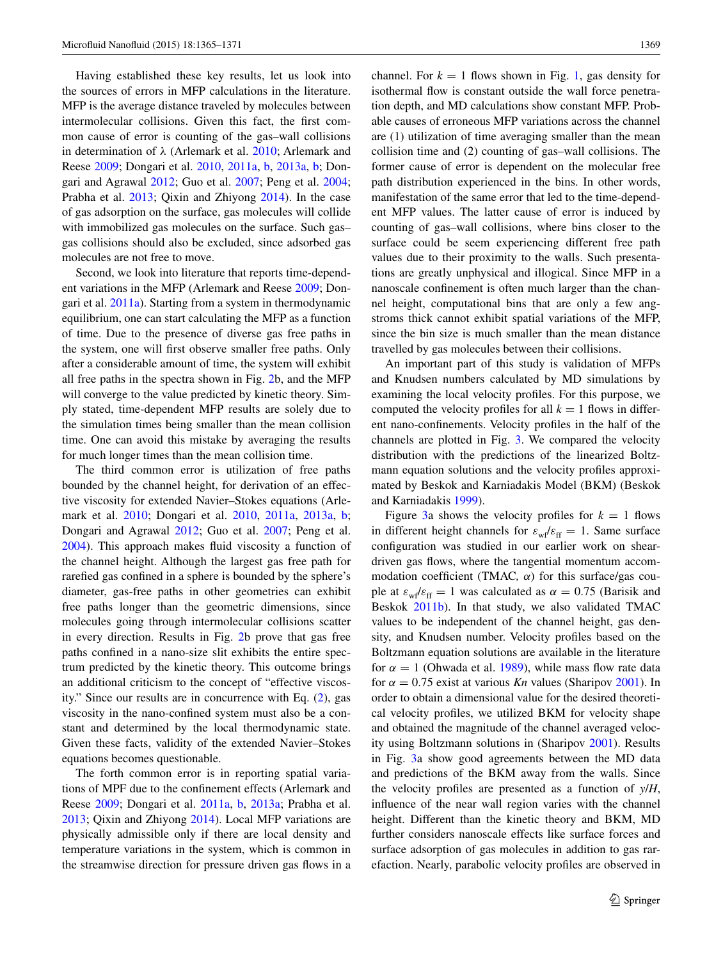Having established these key results, let us look into the sources of errors in MFP calculations in the literature. MFP is the average distance traveled by molecules between intermolecular collisions. Given this fact, the first common cause of error is counting of the gas–wall collisions in determination of *λ* (Arlemark et al. [2010](#page-5-1); Arlemark and Reese [2009;](#page-5-0) Dongari et al. [2010](#page-6-9), [2011a](#page-6-0), [b](#page-6-1), [2013a](#page-6-2), [b;](#page-6-5) Dongari and Agrawal [2012](#page-6-6); Guo et al. [2007;](#page-6-7) Peng et al. [2004](#page-6-8); Prabha et al. [2013;](#page-6-3) Qixin and Zhiyong [2014\)](#page-6-4). In the case of gas adsorption on the surface, gas molecules will collide with immobilized gas molecules on the surface. Such gas– gas collisions should also be excluded, since adsorbed gas molecules are not free to move.

Second, we look into literature that reports time-dependent variations in the MFP (Arlemark and Reese [2009](#page-5-0); Dongari et al. [2011a](#page-6-0)). Starting from a system in thermodynamic equilibrium, one can start calculating the MFP as a function of time. Due to the presence of diverse gas free paths in the system, one will first observe smaller free paths. Only after a considerable amount of time, the system will exhibit all free paths in the spectra shown in Fig. [2](#page-3-0)b, and the MFP will converge to the value predicted by kinetic theory. Simply stated, time-dependent MFP results are solely due to the simulation times being smaller than the mean collision time. One can avoid this mistake by averaging the results for much longer times than the mean collision time.

The third common error is utilization of free paths bounded by the channel height, for derivation of an effective viscosity for extended Navier–Stokes equations (Arlemark et al. [2010;](#page-5-1) Dongari et al. [2010,](#page-6-9) [2011a](#page-6-0), [2013a](#page-6-2), [b](#page-6-5); Dongari and Agrawal [2012](#page-6-6); Guo et al. [2007](#page-6-7); Peng et al. [2004](#page-6-8)). This approach makes fluid viscosity a function of the channel height. Although the largest gas free path for rarefied gas confined in a sphere is bounded by the sphere's diameter, gas-free paths in other geometries can exhibit free paths longer than the geometric dimensions, since molecules going through intermolecular collisions scatter in every direction. Results in Fig. [2](#page-3-0)b prove that gas free paths confined in a nano-size slit exhibits the entire spectrum predicted by the kinetic theory. This outcome brings an additional criticism to the concept of "effective viscosity." Since our results are in concurrence with Eq. ([2\)](#page-1-0), gas viscosity in the nano-confined system must also be a constant and determined by the local thermodynamic state. Given these facts, validity of the extended Navier–Stokes equations becomes questionable.

The forth common error is in reporting spatial variations of MPF due to the confinement effects (Arlemark and Reese [2009](#page-5-0); Dongari et al. [2011a](#page-6-0), [b,](#page-6-1) [2013a](#page-6-2); Prabha et al. [2013](#page-6-3); Qixin and Zhiyong [2014](#page-6-4)). Local MFP variations are physically admissible only if there are local density and temperature variations in the system, which is common in the streamwise direction for pressure driven gas flows in a channel. For  $k = 1$  flows shown in Fig. [1,](#page-2-1) gas density for isothermal flow is constant outside the wall force penetration depth, and MD calculations show constant MFP. Probable causes of erroneous MFP variations across the channel are (1) utilization of time averaging smaller than the mean collision time and (2) counting of gas–wall collisions. The former cause of error is dependent on the molecular free path distribution experienced in the bins. In other words, manifestation of the same error that led to the time-dependent MFP values. The latter cause of error is induced by counting of gas–wall collisions, where bins closer to the surface could be seem experiencing different free path values due to their proximity to the walls. Such presentations are greatly unphysical and illogical. Since MFP in a nanoscale confinement is often much larger than the channel height, computational bins that are only a few angstroms thick cannot exhibit spatial variations of the MFP, since the bin size is much smaller than the mean distance travelled by gas molecules between their collisions.

An important part of this study is validation of MFPs and Knudsen numbers calculated by MD simulations by examining the local velocity profiles. For this purpose, we computed the velocity profiles for all  $k = 1$  flows in different nano-confinements. Velocity profiles in the half of the channels are plotted in Fig. [3](#page-5-4). We compared the velocity distribution with the predictions of the linearized Boltzmann equation solutions and the velocity profiles approximated by Beskok and Karniadakis Model (BKM) (Beskok and Karniadakis [1999\)](#page-6-23).

Figure [3a](#page-5-4) shows the velocity profiles for  $k = 1$  flows in different height channels for  $\varepsilon_{\rm wf}/\varepsilon_{\rm ff} = 1$ . Same surface configuration was studied in our earlier work on sheardriven gas flows, where the tangential momentum accommodation coefficient (TMAC*, α*) for this surface/gas couple at  $\varepsilon_{wf}/\varepsilon_{ff} = 1$  was calculated as  $\alpha = 0.75$  (Barisik and Beskok [2011b\)](#page-6-19). In that study, we also validated TMAC values to be independent of the channel height, gas density, and Knudsen number. Velocity profiles based on the Boltzmann equation solutions are available in the literature for  $\alpha = 1$  (Ohwada et al. [1989\)](#page-6-24), while mass flow rate data for  $\alpha = 0.75$  exist at various *Kn* values (Sharipov [2001](#page-6-25)). In order to obtain a dimensional value for the desired theoretical velocity profiles, we utilized BKM for velocity shape and obtained the magnitude of the channel averaged velocity using Boltzmann solutions in (Sharipov [2001\)](#page-6-25). Results in Fig. [3a](#page-5-4) show good agreements between the MD data and predictions of the BKM away from the walls. Since the velocity profiles are presented as a function of *y*/*H*, influence of the near wall region varies with the channel height. Different than the kinetic theory and BKM, MD further considers nanoscale effects like surface forces and surface adsorption of gas molecules in addition to gas rarefaction. Nearly, parabolic velocity profiles are observed in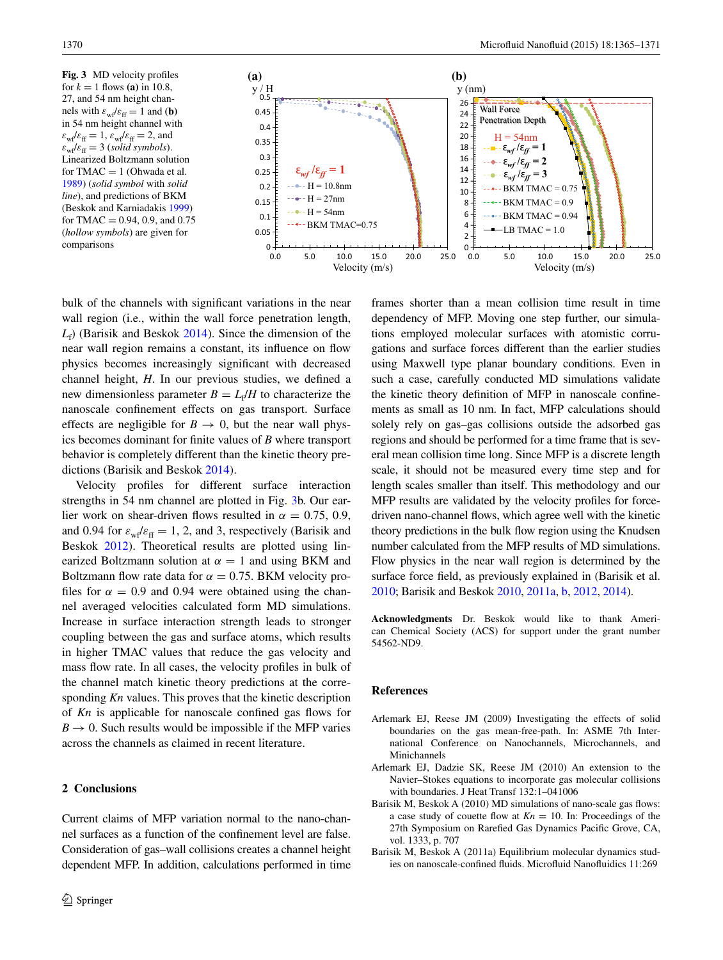<span id="page-5-4"></span>**Fig. 3** MD velocity profiles for  $k = 1$  flows (a) in 10.8, 27, and 54 nm height channels with  $\varepsilon_{\text{wf}}/\varepsilon_{\text{ff}} = 1$  and **(b)** in 54 nm height channel with  $\varepsilon_{\rm wf}/\varepsilon_{\rm ff} = 1$ ,  $\varepsilon_{\rm wf}/\varepsilon_{\rm ff} = 2$ , and  $\varepsilon_{\text{wf}}/\varepsilon_{\text{ff}} = 3$  (*solid symbols*). Linearized Boltzmann solution for  $TMAC = 1$  (Ohwada et al. [1989](#page-6-24)) (*solid symbol* with *solid line*), and predictions of BKM (Beskok and Karniadakis [1999\)](#page-6-23) for TMAC =  $0.94$ , 0.9, and 0.75 (*hollow symbols*) are given for comparisons  $0 \stackrel{1}{\longleftarrow} 0.0$ 



bulk of the channels with significant variations in the near wall region (i.e., within the wall force penetration length, *L*f ) (Barisik and Beskok [2014](#page-6-21)). Since the dimension of the near wall region remains a constant, its influence on flow physics becomes increasingly significant with decreased channel height, *H*. In our previous studies, we defined a new dimensionless parameter  $B = L_f/H$  to characterize the nanoscale confinement effects on gas transport. Surface effects are negligible for  $B \to 0$ , but the near wall physics becomes dominant for finite values of *B* where transport behavior is completely different than the kinetic theory predictions (Barisik and Beskok [2014](#page-6-21)).

Velocity profiles for different surface interaction strengths in 54 nm channel are plotted in Fig. [3](#page-5-4)b. Our earlier work on shear-driven flows resulted in  $\alpha = 0.75, 0.9$ , and 0.94 for  $\varepsilon_{\text{wf}}/\varepsilon_{\text{ff}} = 1, 2$ , and 3, respectively (Barisik and Beskok [2012\)](#page-6-20). Theoretical results are plotted using linearized Boltzmann solution at  $\alpha = 1$  and using BKM and Boltzmann flow rate data for  $\alpha = 0.75$ . BKM velocity profiles for  $\alpha = 0.9$  and 0.94 were obtained using the channel averaged velocities calculated form MD simulations. Increase in surface interaction strength leads to stronger coupling between the gas and surface atoms, which results in higher TMAC values that reduce the gas velocity and mass flow rate. In all cases, the velocity profiles in bulk of the channel match kinetic theory predictions at the corresponding *Kn* values. This proves that the kinetic description of *Kn* is applicable for nanoscale confined gas flows for  $B \rightarrow 0$ . Such results would be impossible if the MFP varies across the channels as claimed in recent literature.

## **2 Conclusions**

Current claims of MFP variation normal to the nano-channel surfaces as a function of the confinement level are false. Consideration of gas–wall collisions creates a channel height dependent MFP. In addition, calculations performed in time

frames shorter than a mean collision time result in time dependency of MFP. Moving one step further, our simulations employed molecular surfaces with atomistic corrugations and surface forces different than the earlier studies using Maxwell type planar boundary conditions. Even in such a case, carefully conducted MD simulations validate the kinetic theory definition of MFP in nanoscale confinements as small as 10 nm. In fact, MFP calculations should solely rely on gas–gas collisions outside the adsorbed gas regions and should be performed for a time frame that is several mean collision time long. Since MFP is a discrete length scale, it should not be measured every time step and for length scales smaller than itself. This methodology and our MFP results are validated by the velocity profiles for forcedriven nano-channel flows, which agree well with the kinetic theory predictions in the bulk flow region using the Knudsen number calculated from the MFP results of MD simulations. Flow physics in the near wall region is determined by the surface force field, as previously explained in (Barisik et al. [2010;](#page-6-18) Barisik and Beskok [2010](#page-5-2), [2011a,](#page-5-3) [b,](#page-6-19) [2012](#page-6-20), [2014](#page-6-21)).

**Acknowledgments** Dr. Beskok would like to thank American Chemical Society (ACS) for support under the grant number 54562-ND9.

## **References**

- <span id="page-5-0"></span>Arlemark EJ, Reese JM (2009) Investigating the effects of solid boundaries on the gas mean-free-path. In: ASME 7th International Conference on Nanochannels, Microchannels, and Minichannels
- <span id="page-5-1"></span>Arlemark EJ, Dadzie SK, Reese JM (2010) An extension to the Navier–Stokes equations to incorporate gas molecular collisions with boundaries. J Heat Transf 132:1–041006
- <span id="page-5-2"></span>Barisik M, Beskok A (2010) MD simulations of nano-scale gas flows: a case study of couette flow at  $Kn = 10$ . In: Proceedings of the 27th Symposium on Rarefied Gas Dynamics Pacific Grove, CA, vol. 1333, p. 707
- <span id="page-5-3"></span>Barisik M, Beskok A (2011a) Equilibrium molecular dynamics studies on nanoscale-confined fluids. Microfluid Nanofluidics 11:269